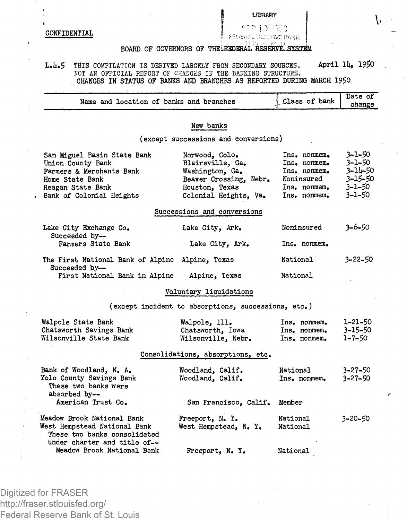## **LfBRARY**

**CONFIDENTIAL** 

**-T 1 1 :l;-n**

## **BOARD OF GOVERNORS OF THELEEDERAL RESERVE .SYSliM**

## L.4.5 THIS COMPILATION IS DERIVED LARGELY FROM SECONDARY SOURCES. April 14, 1950 MOT AN OFFICIAL REPORT OF CHAKGES IN THE BANKING STRUCTURE. **CHANGES IN STATUS OF BANKS AND BRANCHES AS REPORTED DURING MARCH 1 9 #**

| Name and location of banks and branches                                                                                                          |                                                                                                                            | Class of bank                                                                              | Date of<br>change                                          |
|--------------------------------------------------------------------------------------------------------------------------------------------------|----------------------------------------------------------------------------------------------------------------------------|--------------------------------------------------------------------------------------------|------------------------------------------------------------|
|                                                                                                                                                  | New banks                                                                                                                  |                                                                                            |                                                            |
|                                                                                                                                                  | (except successions and conversions)                                                                                       |                                                                                            |                                                            |
|                                                                                                                                                  |                                                                                                                            |                                                                                            |                                                            |
| San Miguel Basin State Bank<br>Union County Bank<br>Farmers & Merchants Bank<br>Home State Bank<br>Reagan State Bank<br>Bank of Colonial Heights | Norwood, Colo.<br>Blairsville, Ga.<br>Washington, Ga.<br>Beaver Crossing, Nebr.<br>Houston, Texas<br>Colonial Heights, Va. | Ins. nonmem.<br>Ins. nonmem.<br>Ins. nonmem.<br>Noninsured<br>Ins. nonmem.<br>Ins. nonmem. | 3-1-50<br>3-1-50<br>3-14-50<br>3-15-50<br>3-1-50<br>3-1-50 |
|                                                                                                                                                  | Successions and conversions                                                                                                |                                                                                            |                                                            |
| Lake City Exchange Co.<br>Succeeded by--                                                                                                         | Lake City, Ark.                                                                                                            | Noninsured                                                                                 | $3 - 6 - 50$                                               |
| Farmers State Bank                                                                                                                               | Lake City, Ark.                                                                                                            | Ins. nonmem.                                                                               |                                                            |
| The First National Bank of Alpine<br>Succeeded by--                                                                                              | Alpine, Texas                                                                                                              | National                                                                                   | 3-22-50                                                    |
| First National Bank in Alpine                                                                                                                    | Alpine, Texas                                                                                                              | National                                                                                   |                                                            |
|                                                                                                                                                  | Voluntary liquidations                                                                                                     |                                                                                            |                                                            |
|                                                                                                                                                  | (except incident to absorptions, successions, etc.)                                                                        |                                                                                            |                                                            |
| Walpole State Bank<br>Chatsworth Savings Bank<br>Wilsonville State Bank                                                                          | Walpole, Ill.<br>Chatsworth, Iowa<br>Wilsonville, Nebr.                                                                    | Ins. nonmem.<br>Ins. nonmem.<br>Ins. nonmem.                                               | 1-21-50<br>3-15-50<br>$1 - 7 - 50$                         |
|                                                                                                                                                  | Consolidations, absorptions, etc.                                                                                          |                                                                                            |                                                            |
|                                                                                                                                                  |                                                                                                                            |                                                                                            |                                                            |
| Bank of Woodland, N. A.<br>Yolo County Savings Bank<br>These two banks were<br>absorbed by--                                                     | Woodland, Calif.<br>Woodland, Calif.                                                                                       | National<br>Ins, nonmem.                                                                   | $3 - 27 - 50$<br>$3 - 27 - 50$                             |
| American Trust Co.                                                                                                                               | San Francisco, Calif.                                                                                                      | Member                                                                                     |                                                            |
| Meadow Brook National Bank<br>West Hempstead National Bank<br>These two banks consolidated<br>under charter and title of--                       | Freeport, N.Y.<br>West Hempstead, N. Y.                                                                                    | National<br>National                                                                       | 3-20-50                                                    |
| Meadow Brook National Bank                                                                                                                       | Freeport, N.Y.                                                                                                             | National                                                                                   |                                                            |

Digitized for FRASER http://fraser.stlouisfed.org/ Federal Reserve Bank of St. Louis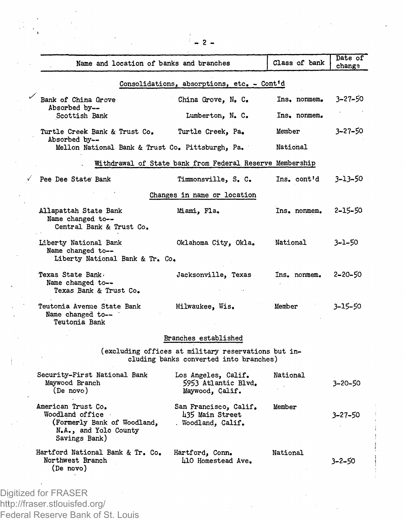|                                                                                                                | Name and location of banks and branches                                                       | Class of bank | Date of<br>change |
|----------------------------------------------------------------------------------------------------------------|-----------------------------------------------------------------------------------------------|---------------|-------------------|
|                                                                                                                | Consolidations, absorptions, etc. - Cont'd                                                    |               |                   |
| Bank of China Grove                                                                                            | China Grove, N. C.                                                                            | Ins. nonmem.  | 3-27-50           |
| Absorbed by--<br>Scottish Bank                                                                                 | Lumberton, N. C.                                                                              | Ins. nonmem.  |                   |
| Turtle Creek Bank & Trust Co.<br>Absorbed by--                                                                 | Turtle Creek, Pa.                                                                             | Member        | 3-27-50           |
|                                                                                                                | Mellon National Bank & Trust Co. Pittsburgh, Pa.                                              | National      |                   |
|                                                                                                                | Withdrawal of State bank from Federal Reserve Membership                                      |               |                   |
| Pee Dee State Bank                                                                                             | Timmonsville, S. C.                                                                           | Ins. cont'd   | 3-13-50           |
|                                                                                                                | Changes in name or location                                                                   |               |                   |
| Allapattah State Bank<br>Name changed to --<br>Central Bank & Trust Co.                                        | Miami, Fla,                                                                                   | Ins. nonmem.  | 2-15-50           |
| Liberty National Bank<br>Name changed to --<br>Liberty National Bank & Tr. Co.                                 | Oklahoma City, Okla.                                                                          | National      | 3–1–50            |
| Texas State Bank,<br>Name changed to--<br>Texas Bank & Trust Co.                                               | Jacksonville, Texas                                                                           | Ins. nonmem.  | 2-20-50           |
| Teutonia Avenue State Bank<br>Name changed to--<br>Teutonia Bank                                               | Milwaukee, Wis.                                                                               | Member        | 3–15–50           |
|                                                                                                                | Branches established                                                                          |               |                   |
|                                                                                                                | (excluding offices at military reservations but in-<br>cluding banks converted into branches) |               |                   |
| Security-First National Bank<br>Maywood Branch<br>(De novo)                                                    | Los Angeles, Calif.<br>5953 Atlantic Blvd.<br>Maywood, Calif.                                 | National      | 3-20-50           |
| American Trust Co.<br>Woodland office<br>(Formerly Bank of Woodland,<br>N.A., and Yolo County<br>Savings Bank) | San Francisco, Calif.<br>435 Main Street<br>. Woodland, Calif.                                | Member        | 3-27-50           |
| Hartford National Bank & Tr. Co.<br>Northwest Branch                                                           | Hartford, Conn.<br>L10 Homestead Ave.                                                         | National      | 3-2-50            |

**2 -**

 $\sim$ 

 $\sim$ 

 $\epsilon$ 

 $\label{eq:1} \begin{array}{ll} \frac{1}{2} & \text{if } \alpha = \frac{1}{2} \end{array}$ **Children** Company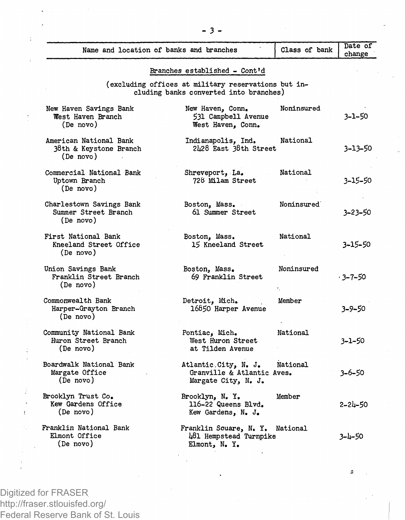|                                                               | Name and location of banks and branches                                                       | Class of bank | Date of<br>change |
|---------------------------------------------------------------|-----------------------------------------------------------------------------------------------|---------------|-------------------|
|                                                               | Branches established - Cont'd                                                                 |               |                   |
|                                                               | (excluding offices at military reservations but in-<br>cluding banks converted into branches) |               |                   |
| New Haven Savings Bank<br>West Haven Branch<br>(De novo)      | New Haven, Conn.<br>531 Campbell Avenue<br>West Haven, Conn.                                  | Noninsured    | 3-1-50            |
| American National Bank<br>38th & Keystone Branch<br>(De novo) | Indianapolis. Ind.<br>2428 East 38th Street                                                   | National      | 3-13-50           |
| Commercial National Bank<br>Uptown Branch<br>(De novo)        | Shreveport, La.<br>728 Milam Street                                                           | National      | 3-15-50           |
| Charlestown Savings Bank<br>Summer Street Branch<br>(De novo) | Boston, Mass.<br>61 Summer Street                                                             | Noninsured    | 3-23-50           |
| First National Bank<br>Kneeland Street Office<br>(De novo)    | Boston, Mass.<br>15 Kneeland Street                                                           | National      | 3-15-50           |
| Union Savings Bank<br>Franklin Street Branch<br>(De novo)     | Boston, Mass.<br>69 Franklin Street                                                           | Noninsured    | · 3–7–50          |
| Commonwealth Bank<br>Harper-Grayton Branch<br>(De novo)       | Detroit, Mich.<br>16850 Harper Avenue                                                         | Member        | 3-9-50            |
| Community National Bank<br>Huron Street Branch<br>(De novo)   | Pontiac, Mich.<br>West Huron Street<br>at Tilden Avenue                                       | National      | 3-1-50            |
| Boardwalk National Bank<br>Margate Office<br>(De novo)        | Atlantic.City, N. J.<br>Granville & Atlantic Aves.<br>Margate City, N. J.                     | National      | 3-6-50            |
| Brooklyn Trust Co.<br>Kew Gardens Office<br>(De novo)         | Brooklyn, N. Y.<br>116-22 Queens Blvd.<br>Kew Gardens, N. J.                                  | Member        | $2 - 24 - 50$     |
| Franklin National Bank<br>Elmont Office<br>(De novo)          | Franklin Souare, N. Y. National<br>481 Hempstead Turnpike<br>Elmont, N.Y.                     |               | $3 - 4 - 50$      |

Á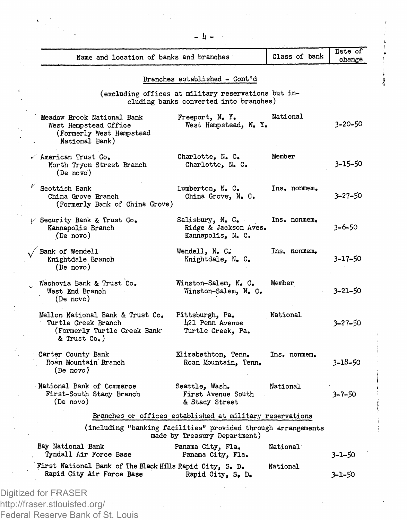| Branches established - Cont'd                                                                                                                                                 |         |
|-------------------------------------------------------------------------------------------------------------------------------------------------------------------------------|---------|
| (excluding offices at military reservations but in-<br>cluding banks converted into branches)                                                                                 |         |
| National<br>Meadow Brook National Bank<br>Freeport, N.Y.<br>West Hempstead, N. Y.<br>West Hempstead Office<br>(Formerly West Hempstead<br>National Bank)                      | 3-20-50 |
| Member<br>Charlotte, N. C.<br>American Trust Co.<br>North Tryon Street Branch<br>Charlotte, N. C.<br>(De novo)                                                                | 3-15-50 |
| Scottish Bank<br>Ins, nonmem,<br>Lumberton, N. C.<br>China Grove Branch<br>China Grove, N. C.<br>(Formerly Bank of China Grove)                                               | 3-27-50 |
| Ins. nonmem.<br>/ Security Bank & Trust Co.<br>Salisbury, N. C.<br>Kannapolis Branch<br>Ridge & Jackson Aves.<br>(De novo)<br>Kannapolis, N. C.                               | 3-6-50  |
| Bank of Wendell<br>Wendell, N. C.<br>Ins. nonmem.<br>Knightdale Branch<br>Knightdale, N. C.<br>(De novo)                                                                      | 3-17-50 |
| Wachovia Bank & Trust Co.<br>Winston-Salem, N. C.<br>Member<br>West End Branch<br>Winston-Salem, N. C.<br>(De novo)                                                           | 3-21-50 |
| Mellon National Bank & Trust Co.<br>National<br>Pittsburgh, Pa.<br>Turtle Creek Branch<br>421 Penn Avenue<br>(Formerly Turtle Creek Bank<br>Turtle Creek, Pa.<br>& Trust Co.) | 3–27–50 |
| Carter County Bank<br>Elizabethton, Tenn.<br>Ins, nonmem.<br>Roan Mountain Branch<br>Roan Mountain, Tenn.<br>(De novo)                                                        | 3-18-50 |
| National Bank of Commerce<br>Seattle, Wash.<br>National<br>First-South Stacy Branch<br>First Avenue South<br>(De novo)<br>& Stacy Street                                      | 3-7-50  |
| Branches or offices established at military reservations                                                                                                                      |         |
| (including "banking facilities" provided through arrangements<br>made by Treasury Department)                                                                                 |         |
| Bay National Bank<br>Panama City, Fla.<br>National<br>Tyndall Air Force Base<br>Panama City, Fla.                                                                             | 3-1-50  |
| First National Bank of The Black Hills Rapid City, S. D.<br>National<br>Rapid City Air Force Base<br>Rapid City, S. D.                                                        | 3-1-50  |

 $\sum_{i=1}^n \frac{1}{i}$ 

 $\begin{array}{c} \mathbf{1} & \mathbf{1} \\ \mathbf{2} & \mathbf{1} \\ \mathbf{3} & \mathbf{1} \end{array}$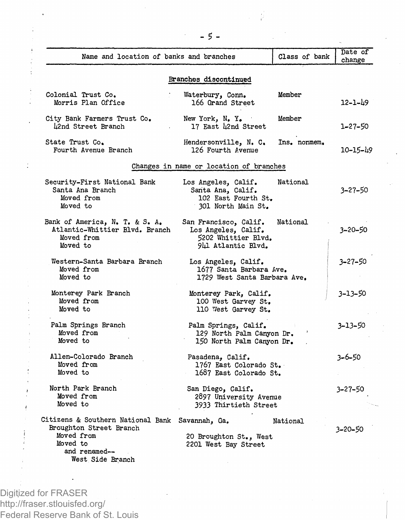| Name and location of banks and branches                                                                                     |                                                                                                                                                       | Class of bank | Date of<br>change |
|-----------------------------------------------------------------------------------------------------------------------------|-------------------------------------------------------------------------------------------------------------------------------------------------------|---------------|-------------------|
|                                                                                                                             | Branches discontinued                                                                                                                                 |               |                   |
| Colonial Trust Co.<br>Morris Plan Office                                                                                    | Waterbury, Conn.<br>166 Grand Street                                                                                                                  | Member        | 12-1-49           |
| City Bank Farmers Trust Co.<br>42nd Street Branch                                                                           | New York, N.Y.<br>17 East 42nd Street                                                                                                                 | Member        | 1-27-50           |
| State Trust Co.<br>Fourth Avenue Branch                                                                                     | Hendersonville, N. C.<br>126 Fourth Avenue                                                                                                            | Ins. nonmem.  | 10-15-49          |
|                                                                                                                             | Changes in name or location of branches                                                                                                               |               |                   |
| Security-First National Bank<br>Santa Ana Branch<br>Moved from<br>Moved to                                                  | Los Angeles, Calif.<br>Santa Ana, Calif.<br>102 East Fourth St.<br>301 North Main St.                                                                 | National      | 3-27-50           |
| Bank of America, N. T. & S. A.<br>Atlantic-Whittier Blvd. Branch<br>Moved from<br>Moved to                                  | San Francisco, Calif.<br>Los Angeles, Calif.<br>5202 Whittier Blvd.<br>941 Atlantic Blvd.                                                             | National      | 3–20–50           |
| Western-Santa Barbara Branch<br>Moved from<br>Moved to                                                                      | Los Angeles, Calif.<br>1677 Santa Barbara Ave.<br>1729 West Santa Barbara Ave.                                                                        |               | $3 - 27 - 50$     |
| Monterey Park Branch<br>Moved from<br>Moved to                                                                              | Monterey Park, Calif.<br>100 West Garvey St.<br>110 West Garvey St.<br>Palm Springs, Calif.<br>129 North Palm Canyon Dr.<br>150 North Palm Canyon Dr. |               | 3-13-50           |
| Palm Springs Branch<br>Moved from<br>Moved to                                                                               |                                                                                                                                                       |               | 3-13-50           |
| Allen-Colorado Branch<br>Moved from<br>Moved to                                                                             | Pasadena, Calif.<br>1767 East Colorado St.<br>1687 East Colorado St.                                                                                  |               | 3-6-50            |
| North Park Branch<br>Moved from<br>Moved to                                                                                 | San Diego, Calif.<br>2897 University Avenue<br>3933 Thirtieth Street                                                                                  |               | 3-27-50           |
| Citizens & Southern National Bank<br>Broughton Street Branch<br>Moved from<br>Moved to<br>and renamed--<br>West Side Branch | Savannah, Ga.<br>20 Broughton St., West<br>2201 West Bay Street                                                                                       | National      | 3–20–50           |